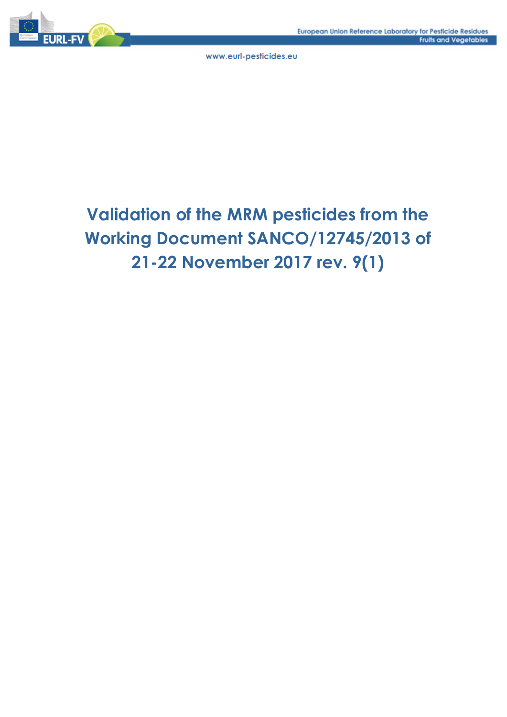

# **Validation of the MRM pesticides from the Working Document SANCO/12745/2013 of 21-22 November 2017 rev. 9(1)**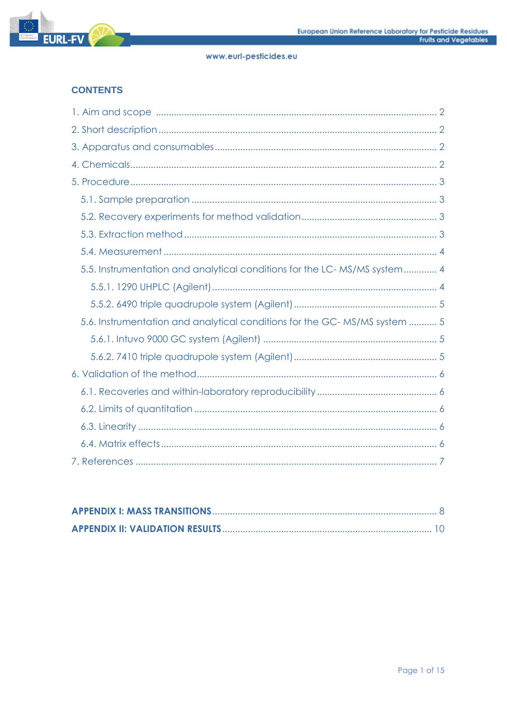

# **CONTENTS**

| 5.5. Instrumentation and analytical conditions for the LC-MS/MS system 4  |
|---------------------------------------------------------------------------|
|                                                                           |
|                                                                           |
| 5.6. Instrumentation and analytical conditions for the GC-MS/MS system  5 |
|                                                                           |
|                                                                           |
|                                                                           |
|                                                                           |
|                                                                           |
|                                                                           |
|                                                                           |
|                                                                           |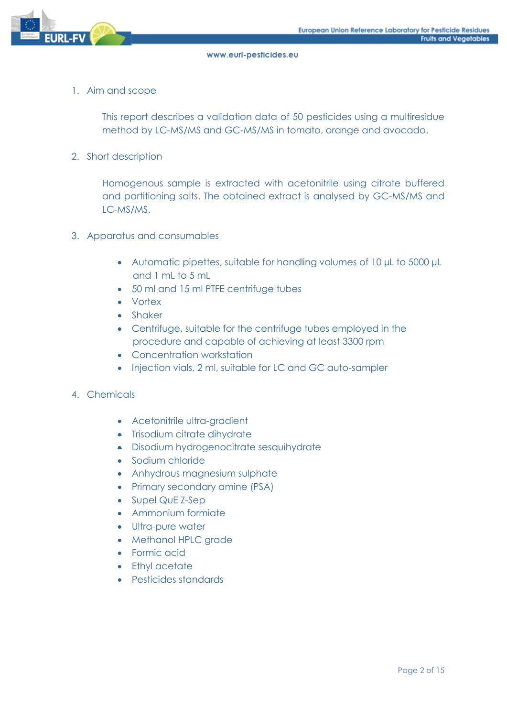

1. Aim and scope

This report describes a validation data of 50 pesticides using a multiresidue method by LC-MS/MS and GC-MS/MS in tomato, orange and avocado.

2. Short description

Homogenous sample is extracted with acetonitrile using citrate buffered and partitioning salts. The obtained extract is analysed by GC-MS/MS and LC-MS/MS.

- 3. Apparatus and consumables
	- Automatic pipettes, suitable for handling volumes of 10 µL to 5000 µL and 1 mL to 5 mL
	- 50 ml and 15 ml PTFE centrifuge tubes
	- Vortex
	- Shaker
	- Centrifuge, suitable for the centrifuge tubes employed in the procedure and capable of achieving at least 3300 rpm
	- Concentration workstation
	- Injection vials, 2 ml, suitable for LC and GC auto-sampler
- 4. Chemicals
	- Acetonitrile ultra-gradient
	- Trisodium citrate dihydrate
	- Disodium hydrogenocitrate sesquihydrate
	- Sodium chloride
	- Anhydrous magnesium sulphate
	- Primary secondary amine (PSA)
	- Supel QuE Z-Sep
	- Ammonium formiate
	- Ultra-pure water
	- Methanol HPLC grade
	- Formic acid
	- Ethyl acetate
	- Pesticides standards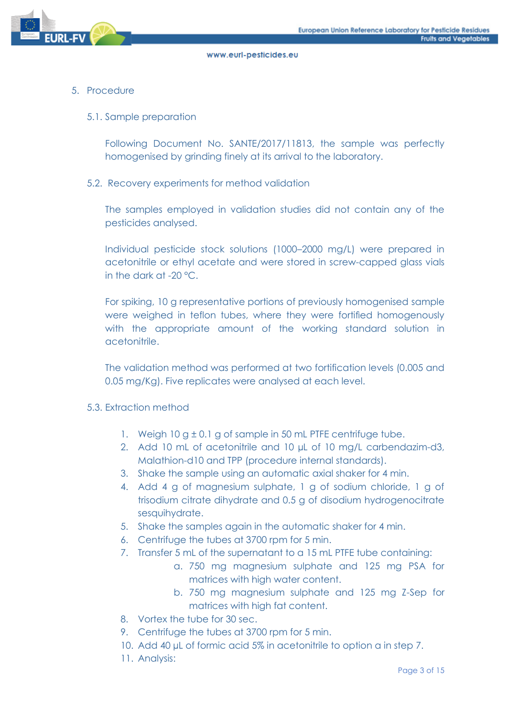

## 5. Procedure

#### 5.1. Sample preparation

Following Document No. SANTE/2017/11813, the sample was perfectly homogenised by grinding finely at its arrival to the laboratory.

#### 5.2. Recovery experiments for method validation

The samples employed in validation studies did not contain any of the pesticides analysed.

Individual pesticide stock solutions (1000–2000 mg/L) were prepared in acetonitrile or ethyl acetate and were stored in screw-capped glass vials in the dark at -20 °C.

For spiking, 10 g representative portions of previously homogenised sample were weighed in teflon tubes, where they were fortified homogenously with the appropriate amount of the working standard solution in acetonitrile.

The validation method was performed at two fortification levels (0.005 and 0.05 mg/Kg). Five replicates were analysed at each level.

#### 5.3. Extraction method

- 1. Weigh 10 g ± 0.1 g of sample in 50 mL PTFE centrifuge tube.
- 2. Add 10 mL of acetonitrile and 10 µL of 10 mg/L carbendazim-d3, Malathion-d10 and TPP (procedure internal standards).
- 3. Shake the sample using an automatic axial shaker for 4 min.
- 4. Add 4 g of magnesium sulphate, 1 g of sodium chloride, 1 g of trisodium citrate dihydrate and 0.5 g of disodium hydrogenocitrate sesquihydrate.
- 5. Shake the samples again in the automatic shaker for 4 min.
- 6. Centrifuge the tubes at 3700 rpm for 5 min.
- 7. Transfer 5 mL of the supernatant to a 15 mL PTFE tube containing:
	- a. 750 mg magnesium sulphate and 125 mg PSA for matrices with high water content.
	- b. 750 mg magnesium sulphate and 125 mg Z-Sep for matrices with high fat content.
- 8. Vortex the tube for 30 sec.
- 9. Centrifuge the tubes at 3700 rpm for 5 min.
- 10. Add 40 µL of formic acid 5% in acetonitrile to option a in step 7.
- 11. Analysis: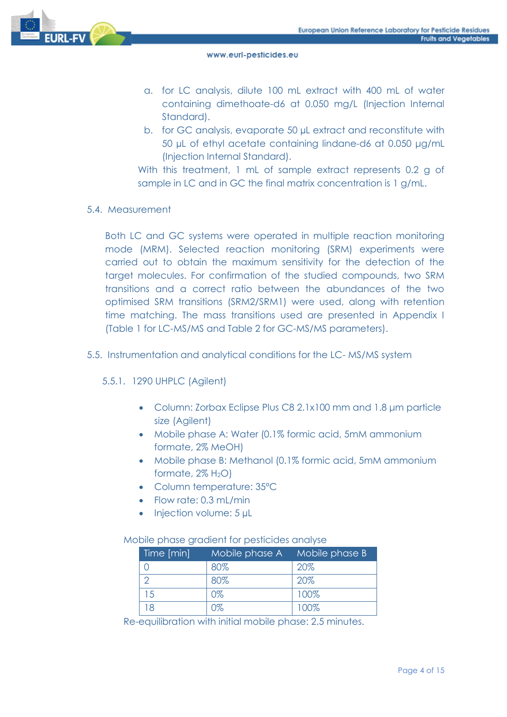

- a. for LC analysis, dilute 100 mL extract with 400 mL of water containing dimethoate-d6 at 0.050 mg/L (Injection Internal Standard).
- b. for GC analysis, evaporate 50 µL extract and reconstitute with 50 µL of ethyl acetate containing lindane-d6 at 0.050 μg/mL (Injection Internal Standard).

With this treatment, 1 mL of sample extract represents 0.2 g of sample in LC and in GC the final matrix concentration is 1 g/mL.

5.4. Measurement

Both LC and GC systems were operated in multiple reaction monitoring mode (MRM). Selected reaction monitoring (SRM) experiments were carried out to obtain the maximum sensitivity for the detection of the target molecules. For confirmation of the studied compounds, two SRM transitions and a correct ratio between the abundances of the two optimised SRM transitions (SRM2/SRM1) were used, along with retention time matching. The mass transitions used are presented in Appendix I (Table 1 for LC-MS/MS and Table 2 for GC-MS/MS parameters).

- 5.5. Instrumentation and analytical conditions for the LC- MS/MS system
	- 5.5.1. 1290 UHPLC (Agilent)
		- Column: Zorbax Eclipse Plus C8 2.1x100 mm and 1.8 μm particle size (Agilent)
		- Mobile phase A: Water (0.1% formic acid, 5mM ammonium formate, 2% MeOH)
		- Mobile phase B: Methanol (0.1% formic acid, 5mM ammonium formate,  $2\%$  H<sub>2</sub>O)
		- Column temperature: 35ºC
		- Flow rate: 0.3 mL/min
		- Injection volume: 5 µL

#### Mobile phase gradient for pesticides analyse

| Time [min] | Mobile phase A Mobile phase B |      |
|------------|-------------------------------|------|
|            | 80%                           | 20%  |
|            | 80%                           | 20%  |
| 15         | 0%                            | 100% |
|            | ነጁ                            | 100% |

Re-equilibration with initial mobile phase: 2.5 minutes.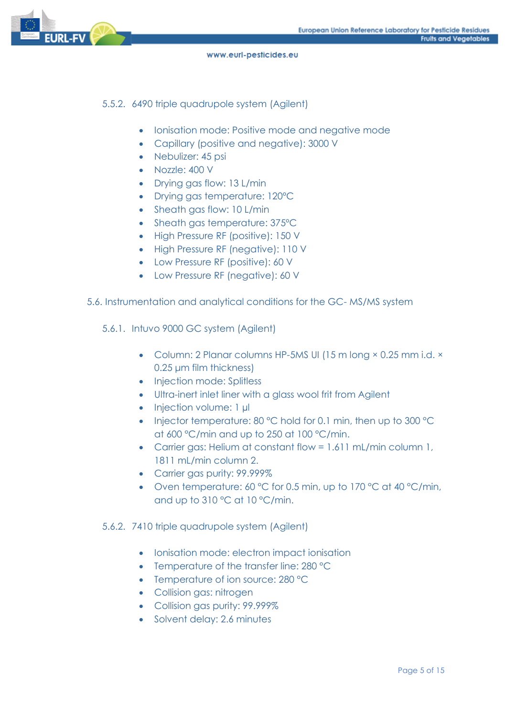

5.5.2. 6490 triple quadrupole system (Agilent)

- Ionisation mode: Positive mode and negative mode
- Capillary (positive and negative): 3000 V
- Nebulizer: 45 psi
- Nozzle: 400 V
- Drying gas flow: 13 L/min
- Drying gas temperature: 120ºC
- Sheath gas flow: 10 L/min
- Sheath gas temperature: 375°C
- High Pressure RF (positive): 150 V
- High Pressure RF (negative): 110 V
- Low Pressure RF (positive): 60 V
- Low Pressure RF (negative): 60 V
- 5.6. Instrumentation and analytical conditions for the GC- MS/MS system
	- 5.6.1. Intuvo 9000 GC system (Agilent)
		- Column: 2 Planar columns HP-5MS UI (15 m long × 0.25 mm i.d. × 0.25 μm film thickness)
		- Injection mode: Splitless
		- Ultra-inert inlet liner with a glass wool frit from Agilent
		- Injection volume: 1 µl
		- Injector temperature: 80 °C hold for 0.1 min, then up to 300 °C at 600 °C/min and up to 250 at 100 °C/min.
		- Carrier gas: Helium at constant flow = 1.611 mL/min column 1, 1811 mL/min column 2.
		- Carrier gas purity: 99.999%
		- Oven temperature: 60 °C for 0.5 min, up to 170 °C at 40 °C/min, and up to 310 °C at 10 °C/min.

### 5.6.2. 7410 triple quadrupole system (Agilent)

- Ionisation mode: electron impact ionisation
- Temperature of the transfer line: 280 °C
- Temperature of ion source: 280 °C
- Collision gas: nitrogen
- Collision gas purity: 99.999%
- Solvent delay: 2.6 minutes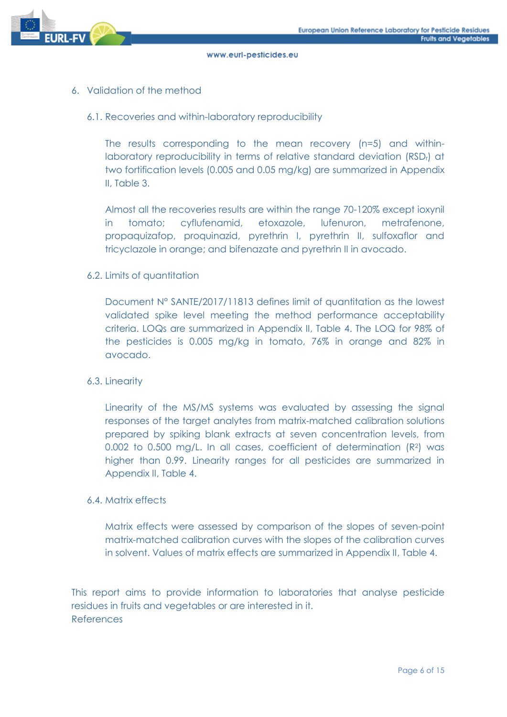

- 6. Validation of the method
	- 6.1. Recoveries and within-laboratory reproducibility

The results corresponding to the mean recovery (n=5) and withinlaboratory reproducibility in terms of relative standard deviation (RSDr) at two fortification levels (0.005 and 0.05 mg/kg) are summarized in Appendix II, Table 3.

Almost all the recoveries results are within the range 70-120% except ioxynil in tomato; cyflufenamid, etoxazole, lufenuron, metrafenone, propaquizafop, proquinazid, pyrethrin I, pyrethrin II, sulfoxaflor and tricyclazole in orange; and bifenazate and pyrethrin II in avocado.

#### 6.2. Limits of quantitation

Document N° SANTE/2017/11813 defines limit of quantitation as the lowest validated spike level meeting the method performance acceptability criteria. LOQs are summarized in Appendix II, Table 4. The LOQ for 98% of the pesticides is 0.005 mg/kg in tomato, 76% in orange and 82% in avocado.

#### 6.3. Linearity

Linearity of the MS/MS systems was evaluated by assessing the signal responses of the target analytes from matrix-matched calibration solutions prepared by spiking blank extracts at seven concentration levels, from 0.002 to 0.500 mg/L. In all cases, coefficient of determination (R2) was higher than 0.99. Linearity ranges for all pesticides are summarized in Appendix II, Table 4.

### 6.4. Matrix effects

Matrix effects were assessed by comparison of the slopes of seven-point matrix-matched calibration curves with the slopes of the calibration curves in solvent. Values of matrix effects are summarized in Appendix II, Table 4.

This report aims to provide information to laboratories that analyse pesticide residues in fruits and vegetables or are interested in it. References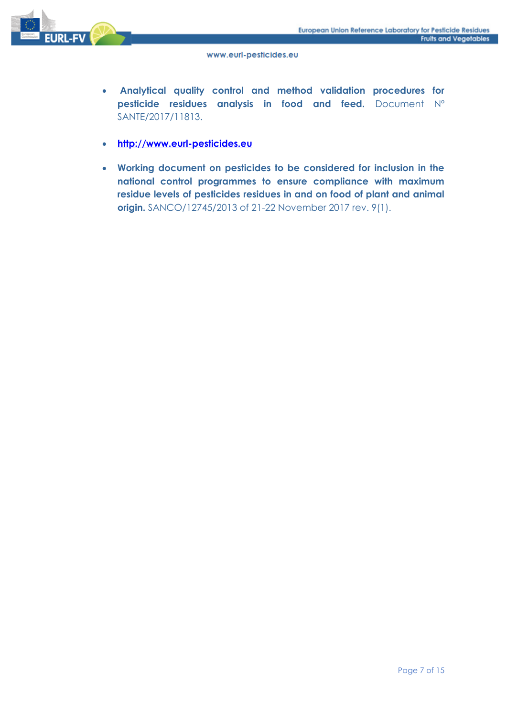

- **Analytical quality control and method validation procedures for pesticide residues analysis in food and feed.** Document Nº SANTE/2017/11813.
- **[http://www.eurl-pesticides.eu](http://www.eurl-pesticides.eu/)**
- **Working document on pesticides to be considered for inclusion in the national control programmes to ensure compliance with maximum residue levels of pesticides residues in and on food of plant and animal origin.** SANCO/12745/2013 of 21-22 November 2017 rev. 9(1).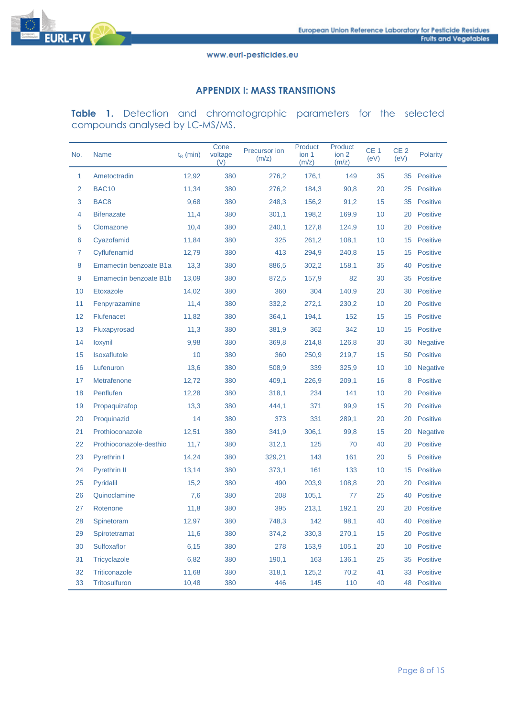

# **APPENDIX I: MASS TRANSITIONS**

**Table 1.** Detection and chromatographic parameters for the selected compounds analysed by LC-MS/MS.

| No.            | <b>Name</b>             | $t_{R}$ (min) | Cone<br>voltage<br>(V) | <b>Precursor</b> ion<br>(m/z) | Product<br>ion 1<br>(m/z) | Product<br>ion 2<br>(m/z) | CE <sub>1</sub><br>(eV) | CE <sub>2</sub><br>(eV) | <b>Polarity</b> |
|----------------|-------------------------|---------------|------------------------|-------------------------------|---------------------------|---------------------------|-------------------------|-------------------------|-----------------|
| 1              | Ametoctradin            | 12,92         | 380                    | 276,2                         | 176,1                     | 149                       | 35                      | 35                      | <b>Positive</b> |
| $\overline{2}$ | <b>BAC10</b>            | 11,34         | 380                    | 276,2                         | 184,3                     | 90,8                      | 20                      | 25                      | <b>Positive</b> |
| 3              | BAC <sub>8</sub>        | 9,68          | 380                    | 248,3                         | 156,2                     | 91,2                      | 15                      | 35                      | <b>Positive</b> |
| 4              | <b>Bifenazate</b>       | 11,4          | 380                    | 301,1                         | 198,2                     | 169,9                     | 10                      | 20                      | <b>Positive</b> |
| 5              | Clomazone               | 10,4          | 380                    | 240,1                         | 127,8                     | 124,9                     | 10                      | 20                      | <b>Positive</b> |
| 6              | Cyazofamid              | 11,84         | 380                    | 325                           | 261,2                     | 108,1                     | 10                      | 15                      | <b>Positive</b> |
| 7              | Cyflufenamid            | 12,79         | 380                    | 413                           | 294,9                     | 240,8                     | 15                      | 15                      | Positive        |
| 8              | Emamectin benzoate B1a  | 13,3          | 380                    | 886,5                         | 302,2                     | 158,1                     | 35                      | 40                      | <b>Positive</b> |
| 9              | Emamectin benzoate B1b  | 13,09         | 380                    | 872,5                         | 157,9                     | 82                        | 30                      | 35                      | <b>Positive</b> |
| 10             | Etoxazole               | 14,02         | 380                    | 360                           | 304                       | 140,9                     | 20                      | 30                      | <b>Positive</b> |
| 11             | Fenpyrazamine           | 11,4          | 380                    | 332,2                         | 272,1                     | 230,2                     | 10                      | 20                      | <b>Positive</b> |
| 12             | <b>Flufenacet</b>       | 11,82         | 380                    | 364,1                         | 194,1                     | 152                       | 15                      | 15                      | <b>Positive</b> |
| 13             | Fluxapyrosad            | 11,3          | 380                    | 381,9                         | 362                       | 342                       | 10                      | 15                      | <b>Positive</b> |
| 14             | loxynil                 | 9,98          | 380                    | 369,8                         | 214,8                     | 126,8                     | 30                      | 30                      | <b>Negative</b> |
| 15             | Isoxaflutole            | 10            | 380                    | 360                           | 250,9                     | 219,7                     | 15                      | 50                      | <b>Positive</b> |
| 16             | Lufenuron               | 13,6          | 380                    | 508,9                         | 339                       | 325,9                     | 10                      | 10                      | <b>Negative</b> |
| 17             | Metrafenone             | 12,72         | 380                    | 409,1                         | 226,9                     | 209,1                     | 16                      | 8                       | <b>Positive</b> |
| 18             | Penflufen               | 12,28         | 380                    | 318,1                         | 234                       | 141                       | 10 <sup>1</sup>         | 20                      | <b>Positive</b> |
| 19             | Propaquizafop           | 13,3          | 380                    | 444,1                         | 371                       | 99,9                      | 15                      | 20                      | <b>Positive</b> |
| 20             | Proquinazid             | 14            | 380                    | 373                           | 331                       | 289,1                     | 20                      | 20                      | Positive        |
| 21             | Prothioconazole         | 12,51         | 380                    | 341,9                         | 306,1                     | 99,8                      | 15                      | 20                      | <b>Negative</b> |
| 22             | Prothioconazole-desthio | 11,7          | 380                    | 312,1                         | 125                       | 70                        | 40                      | 20                      | <b>Positive</b> |
| 23             | Pyrethrin I             | 14,24         | 380                    | 329,21                        | 143                       | 161                       | 20                      | 5                       | <b>Positive</b> |
| 24             | <b>Pyrethrin II</b>     | 13,14         | 380                    | 373,1                         | 161                       | 133                       | 10 <sup>1</sup>         | 15                      | <b>Positive</b> |
| 25             | Pyridalil               | 15,2          | 380                    | 490                           | 203,9                     | 108,8                     | 20                      | 20                      | <b>Positive</b> |
| 26             | Quinoclamine            | 7,6           | 380                    | 208                           | 105,1                     | 77                        | 25                      | 40                      | <b>Positive</b> |
| 27             | Rotenone                | 11,8          | 380                    | 395                           | 213,1                     | 192,1                     | 20                      | 20                      | <b>Positive</b> |
| 28             | Spinetoram              | 12,97         | 380                    | 748,3                         | 142                       | 98,1                      | 40                      | 40                      | Positive        |
| 29             | Spirotetramat           | 11,6          | 380                    | 374,2                         | 330,3                     | 270,1                     | 15                      | 20                      | <b>Positive</b> |
| 30             | Sulfoxaflor             | 6,15          | 380                    | 278                           | 153,9                     | 105,1                     | 20                      | 10                      | <b>Positive</b> |
| 31             | Tricyclazole            | 6,82          | 380                    | 190,1                         | 163                       | 136,1                     | 25                      | 35                      | Positive        |
| 32             | Triticonazole           | 11,68         | 380                    | 318,1                         | 125,2                     | 70,2                      | 41                      | 33                      | Positive        |
| 33             | Tritosulfuron           | 10,48         | 380                    | 446                           | 145                       | 110                       | 40                      |                         | 48 Positive     |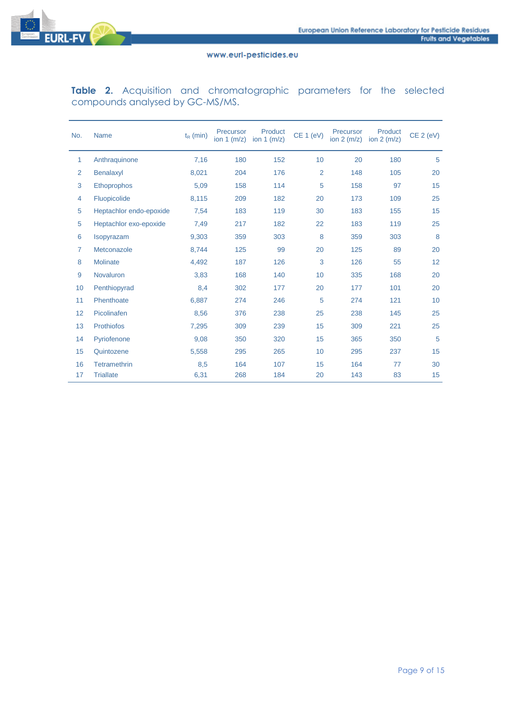

**Table 2.** Acquisition and chromatographic parameters for the selected compounds analysed by GC-MS/MS.

| No. | <b>Name</b>             | $t_R$ (min) | Precursor<br>ion $1$ (m/z) | Product<br>ion $1$ (m/z) | <b>CE 1 (eV)</b> | Precursor<br>ion $2(m/z)$ | Product<br>ion $2 \text{ (m/z)}$ | CE 2 (eV) |
|-----|-------------------------|-------------|----------------------------|--------------------------|------------------|---------------------------|----------------------------------|-----------|
| 1   | Anthraquinone           | 7,16        | 180                        | 152                      | 10               | 20                        | 180                              | 5         |
| 2   | Benalaxyl               | 8,021       | 204                        | 176                      | $\overline{2}$   | 148                       | 105                              | 20        |
| 3   | <b>Ethoprophos</b>      | 5,09        | 158                        | 114                      | 5                | 158                       | 97                               | 15        |
| 4   | Fluopicolide            | 8,115       | 209                        | 182                      | 20               | 173                       | 109                              | 25        |
| 5   | Heptachlor endo-epoxide | 7,54        | 183                        | 119                      | 30               | 183                       | 155                              | 15        |
| 5   | Heptachlor exo-epoxide  | 7,49        | 217                        | 182                      | 22               | 183                       | 119                              | 25        |
| 6   | Isopyrazam              | 9,303       | 359                        | 303                      | 8                | 359                       | 303                              | 8         |
| 7   | Metconazole             | 8,744       | 125                        | 99                       | 20               | 125                       | 89                               | 20        |
| 8   | <b>Molinate</b>         | 4,492       | 187                        | 126                      | 3                | 126                       | 55                               | 12        |
| 9   | <b>Novaluron</b>        | 3,83        | 168                        | 140                      | 10               | 335                       | 168                              | 20        |
| 10  | Penthiopyrad            | 8,4         | 302                        | 177                      | 20               | 177                       | 101                              | 20        |
| 11  | Phenthoate              | 6,887       | 274                        | 246                      | 5                | 274                       | 121                              | 10        |
| 12  | Picolinafen             | 8,56        | 376                        | 238                      | 25               | 238                       | 145                              | 25        |
| 13  | <b>Prothiofos</b>       | 7,295       | 309                        | 239                      | 15               | 309                       | 221                              | 25        |
| 14  | Pyriofenone             | 9,08        | 350                        | 320                      | 15               | 365                       | 350                              | 5         |
| 15  | Quintozene              | 5,558       | 295                        | 265                      | 10               | 295                       | 237                              | 15        |
| 16  | <b>Tetramethrin</b>     | 8,5         | 164                        | 107                      | 15               | 164                       | 77                               | 30        |
| 17  | <b>Triallate</b>        | 6,31        | 268                        | 184                      | 20               | 143                       | 83                               | 15        |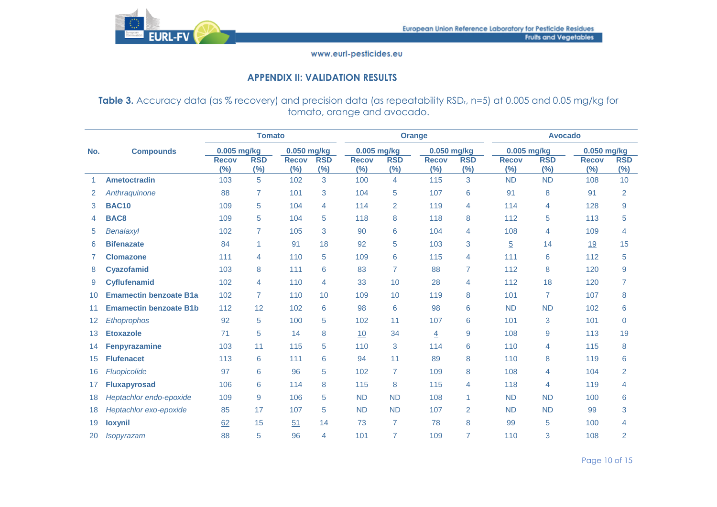

## **APPENDIX II: VALIDATION RESULTS**

Table 3. Accuracy data (as % recovery) and precision data (as repeatability RSD<sub>r</sub>, n=5) at 0.005 and 0.05 mg/kg for tomato, orange and avocado.

|                   |                               |                     | <b>Tomato</b>     |                        |                   |                     |                   | <b>Orange</b>       |                      | <b>Avocado</b>         |                   |                     |                      |  |
|-------------------|-------------------------------|---------------------|-------------------|------------------------|-------------------|---------------------|-------------------|---------------------|----------------------|------------------------|-------------------|---------------------|----------------------|--|
| No.               | <b>Compounds</b>              | 0.005 mg/kg         |                   | 0.050 mg/kg            |                   | 0.005 mg/kg         |                   | 0.050 mg/kg         |                      | 0.005 mg/kg            |                   | 0.050 mg/kg         |                      |  |
|                   |                               | <b>Recov</b><br>(%) | <b>RSD</b><br>(%) | <b>Recov</b><br>$(\%)$ | <b>RSD</b><br>(%) | <b>Recov</b><br>(%) | <b>RSD</b><br>(%) | <b>Recov</b><br>(%) | <b>RSD</b><br>$(\%)$ | <b>Recov</b><br>$(\%)$ | <b>RSD</b><br>(%) | <b>Recov</b><br>(%) | <b>RSD</b><br>$(\%)$ |  |
| 1.                | <b>Ametoctradin</b>           | 103                 | 5                 | 102                    | 3                 | 100                 | $\overline{4}$    | 115                 | 3                    | <b>ND</b>              | <b>ND</b>         | 108                 | 10                   |  |
| 2                 | Anthraquinone                 | 88                  | $\overline{7}$    | 101                    | 3                 | 104                 | 5                 | 107                 | 6                    | 91                     | 8                 | 91                  | $\overline{2}$       |  |
| 3                 | <b>BAC10</b>                  | 109                 | 5                 | 104                    | 4                 | 114                 | 2                 | 119                 | 4                    | 114                    | $\overline{4}$    | 128                 | 9                    |  |
| 4                 | BAC8                          | 109                 | 5                 | 104                    | 5                 | 118                 | 8                 | 118                 | 8                    | 112                    | 5                 | 113                 | 5                    |  |
| 5                 | Benalaxyl                     | 102                 | $\overline{7}$    | 105                    | 3                 | 90                  | 6                 | 104                 | 4                    | 108                    | $\overline{4}$    | 109                 | $\overline{4}$       |  |
| 6                 | <b>Bifenazate</b>             | 84                  | 1                 | 91                     | 18                | 92                  | 5                 | 103                 | 3                    | $\overline{5}$         | 14                | <u>19</u>           | 15                   |  |
|                   | <b>Clomazone</b>              | 111                 | $\overline{4}$    | 110                    | 5                 | 109                 | 6                 | 115                 | 4                    | 111                    | 6                 | 112                 | 5                    |  |
| 8                 | <b>Cyazofamid</b>             | 103                 | 8                 | 111                    | 6                 | 83                  | $\overline{7}$    | 88                  | 7                    | 112                    | 8                 | 120                 | 9                    |  |
| 9                 | <b>Cyflufenamid</b>           | 102                 | $\overline{4}$    | 110                    | 4                 | 33                  | 10                | 28                  | 4                    | 112                    | 18                | 120                 | $\overline{7}$       |  |
| 10                | <b>Emamectin benzoate B1a</b> | 102                 | $\overline{7}$    | 110                    | 10                | 109                 | 10                | 119                 | 8                    | 101                    | $\overline{7}$    | 107                 | 8                    |  |
| 11                | <b>Emamectin benzoate B1b</b> | 112                 | 12                | 102                    | 6                 | 98                  | 6                 | 98                  | 6                    | <b>ND</b>              | <b>ND</b>         | 102                 | 6                    |  |
| $12 \overline{ }$ | Ethoprophos                   | 92                  | 5                 | 100                    | 5                 | 102                 | 11                | 107                 | 6                    | 101                    | 3                 | 101                 | $\Omega$             |  |
| 13                | <b>Etoxazole</b>              | 71                  | 5                 | 14                     | 8                 | 10                  | 34                | $\overline{4}$      | 9                    | 108                    | 9                 | 113                 | 19                   |  |
| 14                | <b>Fenpyrazamine</b>          | 103                 | 11                | 115                    | 5                 | 110                 | 3                 | 114                 | 6                    | 110                    | $\overline{4}$    | 115                 | 8                    |  |
| 15                | <b>Flufenacet</b>             | 113                 | 6                 | 111                    | 6                 | 94                  | 11                | 89                  | 8                    | 110                    | 8                 | 119                 | 6                    |  |
| 16                | Fluopicolide                  | 97                  | 6                 | 96                     | 5                 | 102                 | $\overline{7}$    | 109                 | 8                    | 108                    | $\overline{4}$    | 104                 | $\overline{2}$       |  |
| 17                | <b>Fluxapyrosad</b>           | 106                 | 6                 | 114                    | 8                 | 115                 | 8                 | 115                 | 4                    | 118                    | $\overline{4}$    | 119                 | $\overline{4}$       |  |
| 18                | Heptachlor endo-epoxide       | 109                 | 9                 | 106                    | 5                 | <b>ND</b>           | <b>ND</b>         | 108                 | $\mathbf{1}$         | <b>ND</b>              | <b>ND</b>         | 100                 | 6                    |  |
| 18                | Heptachlor exo-epoxide        | 85                  | 17                | 107                    | 5                 | <b>ND</b>           | <b>ND</b>         | 107                 | 2                    | <b>ND</b>              | <b>ND</b>         | 99                  | 3                    |  |
| 19                | <b>loxynil</b>                | 62                  | 15                | 51                     | 14                | 73                  | $\overline{7}$    | 78                  | 8                    | 99                     | 5                 | 100                 | 4                    |  |
| 20                | <b>Isopyrazam</b>             | 88                  | 5                 | 96                     | 4                 | 101                 | $\overline{7}$    | 109                 | 7                    | 110                    | 3                 | 108                 | 2                    |  |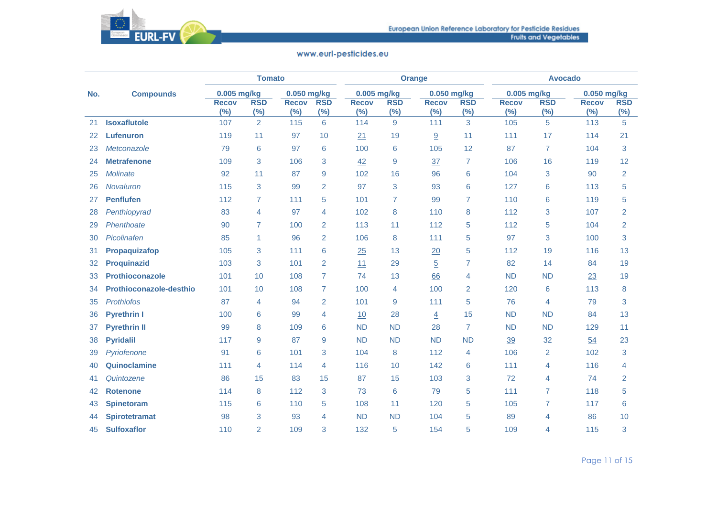

|     |                         |                     | <b>Tomato</b>     |                     |                   |                     |                   | <b>Orange</b>       |                   | <b>Avocado</b>      |                   |                        |                      |  |
|-----|-------------------------|---------------------|-------------------|---------------------|-------------------|---------------------|-------------------|---------------------|-------------------|---------------------|-------------------|------------------------|----------------------|--|
| No. | <b>Compounds</b>        | $0.005$ mg/kg       |                   | $0.050$ mg/kg       |                   | $0.005$ mg/kg       |                   | 0.050 mg/kg         |                   | 0.005 mg/kg         |                   | $0.050$ mg/kg          |                      |  |
|     |                         | <b>Recov</b><br>(%) | <b>RSD</b><br>(%) | <b>Recov</b><br>(%) | <b>RSD</b><br>(%) | <b>Recov</b><br>(%) | <b>RSD</b><br>(%) | <b>Recov</b><br>(%) | <b>RSD</b><br>(%) | <b>Recov</b><br>(%) | <b>RSD</b><br>(%) | <b>Recov</b><br>$(\%)$ | <b>RSD</b><br>$(\%)$ |  |
| 21  | <b>Isoxaflutole</b>     | 107                 | $\overline{2}$    | 115                 | $6\phantom{1}6$   | 114                 | 9                 | 111                 | 3                 | 105                 | 5                 | 113                    | 5                    |  |
| 22  | Lufenuron               | 119                 | 11                | 97                  | 10                | 21                  | 19                | 9                   | 11                | 111                 | 17                | 114                    | 21                   |  |
| 23  | Metconazole             | 79                  | 6                 | 97                  | $6\phantom{1}6$   | 100                 | 6                 | 105                 | 12                | 87                  | $\overline{7}$    | 104                    | 3                    |  |
| 24  | <b>Metrafenone</b>      | 109                 | 3                 | 106                 | 3                 | 42                  | 9                 | 37                  | $\overline{7}$    | 106                 | 16                | 119                    | 12                   |  |
| 25  | <b>Molinate</b>         | 92                  | 11                | 87                  | 9                 | 102                 | 16                | 96                  | 6                 | 104                 | 3                 | 90                     | $\overline{2}$       |  |
| 26  | <b>Novaluron</b>        | 115                 | 3                 | 99                  | $\overline{2}$    | 97                  | 3                 | 93                  | 6                 | 127                 | 6                 | 113                    | 5                    |  |
| 27  | <b>Penflufen</b>        | 112                 | 7                 | 111                 | 5                 | 101                 | 7                 | 99                  | 7                 | 110                 | 6                 | 119                    | 5                    |  |
| 28  | Penthiopyrad            | 83                  | 4                 | 97                  | 4                 | 102                 | 8                 | 110                 | 8                 | 112                 | 3                 | 107                    | $\overline{2}$       |  |
| 29  | Phenthoate              | 90                  | $\overline{7}$    | 100                 | $\overline{2}$    | 113                 | 11                | 112                 | 5                 | 112                 | 5                 | 104                    | $\overline{2}$       |  |
| 30  | Picolinafen             | 85                  | 1                 | 96                  | $\overline{2}$    | 106                 | 8                 | 111                 | 5                 | 97                  | 3                 | 100                    | 3                    |  |
| 31  | Propaquizafop           | 105                 | 3                 | 111                 | 6                 | 25                  | 13                | 20                  | 5                 | 112                 | 19                | 116                    | 13                   |  |
| 32  | <b>Proquinazid</b>      | 103                 | 3                 | 101                 | $\overline{2}$    | 11                  | 29                | $\overline{5}$      | $\overline{7}$    | 82                  | 14                | 84                     | 19                   |  |
| 33  | <b>Prothioconazole</b>  | 101                 | 10                | 108                 | $\overline{7}$    | 74                  | 13                | 66                  | $\overline{4}$    | <b>ND</b>           | <b>ND</b>         | 23                     | 19                   |  |
| 34  | Prothioconazole-desthio | 101                 | 10                | 108                 | $\overline{7}$    | 100                 | 4                 | 100                 | $\overline{2}$    | 120                 | 6                 | 113                    | 8                    |  |
| 35  | <b>Prothiofos</b>       | 87                  | 4                 | 94                  | $\overline{2}$    | 101                 | 9                 | 111                 | 5                 | 76                  | 4                 | 79                     | 3                    |  |
| 36  | <b>Pyrethrin I</b>      | 100                 | 6                 | 99                  | 4                 | 10                  | 28                | $\overline{4}$      | 15                | <b>ND</b>           | <b>ND</b>         | 84                     | 13                   |  |
| 37  | <b>Pyrethrin II</b>     | 99                  | 8                 | 109                 | 6                 | <b>ND</b>           | <b>ND</b>         | 28                  | $\overline{7}$    | <b>ND</b>           | <b>ND</b>         | 129                    | 11                   |  |
| 38  | <b>Pyridalil</b>        | 117                 | 9                 | 87                  | 9                 | <b>ND</b>           | <b>ND</b>         | <b>ND</b>           | <b>ND</b>         | 39                  | 32                | 54                     | 23                   |  |
| 39  | Pyriofenone             | 91                  | 6                 | 101                 | 3                 | 104                 | 8                 | 112                 | $\overline{4}$    | 106                 | $\overline{2}$    | 102                    | 3                    |  |
| 40  | Quinoclamine            | 111                 | 4                 | 114                 | 4                 | 116                 | 10                | 142                 | 6                 | 111                 | 4                 | 116                    | 4                    |  |
| 41  | Quintozene              | 86                  | 15                | 83                  | 15                | 87                  | 15                | 103                 | 3                 | 72                  | 4                 | 74                     | $\overline{2}$       |  |
| 42  | <b>Rotenone</b>         | 114                 | 8                 | 112                 | 3                 | 73                  | 6                 | 79                  | 5                 | 111                 | $\overline{7}$    | 118                    | 5                    |  |
| 43  | <b>Spinetoram</b>       | 115                 | 6                 | 110                 | 5                 | 108                 | 11                | 120                 | 5                 | 105                 | $\overline{7}$    | 117                    | 6                    |  |
| 44  | <b>Spirotetramat</b>    | 98                  | 3                 | 93                  | 4                 | <b>ND</b>           | <b>ND</b>         | 104                 | 5                 | 89                  | 4                 | 86                     | 10                   |  |
| 45  | <b>Sulfoxaflor</b>      | 110                 | $\overline{2}$    | 109                 | 3                 | 132                 | 5                 | 154                 | 5                 | 109                 | 4                 | 115                    | 3                    |  |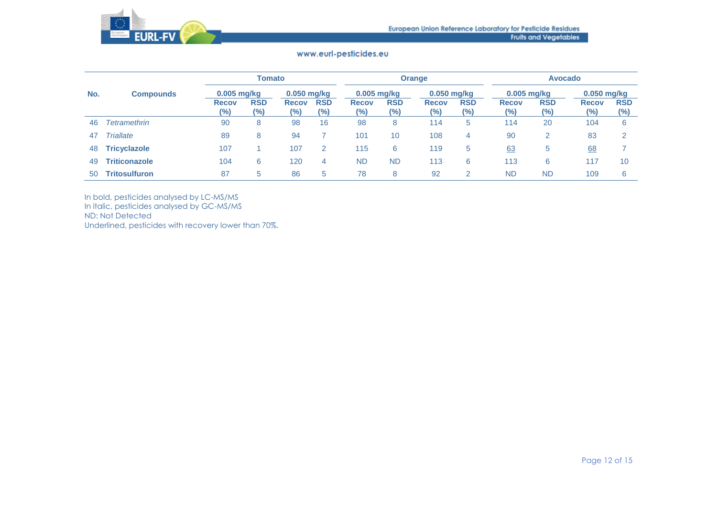

|     |                      |                     | Tomato            |                     |                      |                     |                     | <b>Orange</b>           |                      | <b>Avocado</b>         |                   |                     |                      |  |
|-----|----------------------|---------------------|-------------------|---------------------|----------------------|---------------------|---------------------|-------------------------|----------------------|------------------------|-------------------|---------------------|----------------------|--|
| No. | <b>Compounds</b>     | $0.005$ mg/kg       |                   | 0.050 mg/kg         |                      |                     | 0.005 mg/kg         |                         | 0.050 mg/kg          |                        | 0.005 mg/kg       | 0.050 mg/kg         |                      |  |
|     |                      | <b>Recov</b><br>(%) | <b>RSD</b><br>(%) | <b>Recov</b><br>(%) | <b>RSD</b><br>$(\%)$ | <b>Recov</b><br>(%) | <b>RSD</b><br>(9/0) | <b>Recov</b><br>$(\% )$ | <b>RSD</b><br>$(\%)$ | <b>Recov</b><br>$(\%)$ | <b>RSD</b><br>(%) | <b>Recov</b><br>(%) | <b>RSD</b><br>$(\%)$ |  |
| 46  | Tetramethrin         | 90                  | 8                 | 98                  | 16                   | 98                  | 8                   | 114                     | 5                    | 114                    | 20                | 104                 | 6                    |  |
| 47  | <b>Triallate</b>     | 89                  | 8                 | 94                  |                      | 101                 | 10 <sup>°</sup>     | 108                     | 4                    | 90                     | 2                 | 83                  | $\mathcal{P}$        |  |
| 48  | <b>Tricyclazole</b>  | 107                 |                   | 107                 | 2                    | 115                 | 6                   | 119                     | 5                    | 63                     | 5                 | 68                  |                      |  |
| 49  | <b>Triticonazole</b> | 104                 | 6                 | 120                 | 4                    | <b>ND</b>           | <b>ND</b>           | 113                     | 6                    | 113                    | 6                 | 117                 | 10                   |  |
| 50  | <b>Tritosulfuron</b> | 87                  | 5                 | 86                  | 5                    | 78                  | 8                   | 92                      | 2                    | <b>ND</b>              | <b>ND</b>         | 109                 | 6                    |  |

In bold, pesticides analysed by LC-MS/MS

In italic, pesticides analysed by GC-MS/MS

ND: Not Detected

Underlined, pesticides with recovery lower than 70%.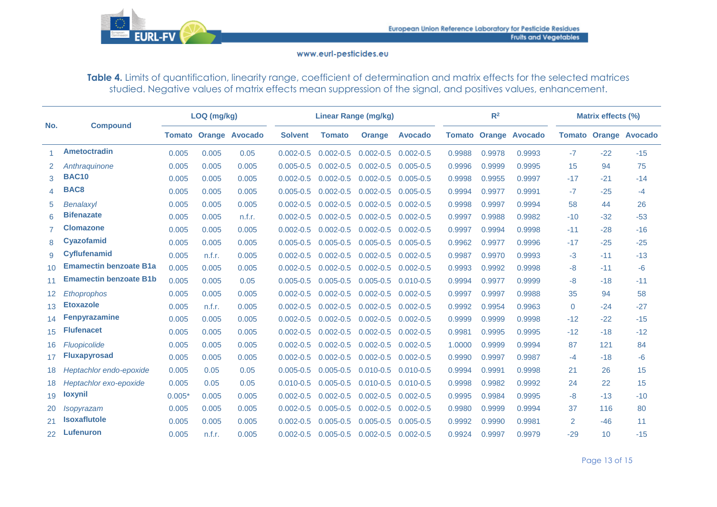

Table 4. Limits of quantification, linearity range, coefficient of determination and matrix effects for the selected matrices studied. Negative values of matrix effects mean suppression of the signal, and positives values, enhancement.

|                 |                               |          | LOQ (mg/kg) |                              |                |               | <b>Linear Range (mg/kg)</b> |                |        | R <sup>2</sup> |                              | Matrix effects (%) |       |                              |  |
|-----------------|-------------------------------|----------|-------------|------------------------------|----------------|---------------|-----------------------------|----------------|--------|----------------|------------------------------|--------------------|-------|------------------------------|--|
| No.             | <b>Compound</b>               |          |             | <b>Tomato Orange Avocado</b> | <b>Solvent</b> | <b>Tomato</b> | <b>Orange</b>               | <b>Avocado</b> |        |                | <b>Tomato Orange Avocado</b> |                    |       | <b>Tomato Orange Avocado</b> |  |
| 1.              | <b>Ametoctradin</b>           | 0.005    | 0.005       | 0.05                         | $0.002 - 0.5$  | $0.002 - 0.5$ | $0.002 - 0.5$               | $0.002 - 0.5$  | 0.9988 | 0.9978         | 0.9993                       | $-7$               | $-22$ | $-15$                        |  |
| 2.              | Anthraguinone                 | 0.005    | 0.005       | 0.005                        | $0.005 - 0.5$  | $0.002 - 0.5$ | $0.002 - 0.5$               | $0.005 - 0.5$  | 0.9996 | 0.9999         | 0.9995                       | 15                 | 94    | 75                           |  |
| 3               | <b>BAC10</b>                  | 0.005    | 0.005       | 0.005                        | $0.002 - 0.5$  | $0.002 - 0.5$ | $0.002 - 0.5$               | $0.005 - 0.5$  | 0.9998 | 0.9955         | 0.9997                       | $-17$              | $-21$ | $-14$                        |  |
| 4               | BAC8                          | 0.005    | 0.005       | 0.005                        | $0.005 - 0.5$  | $0.002 - 0.5$ | $0.002 - 0.5$               | $0.005 - 0.5$  | 0.9994 | 0.9977         | 0.9991                       | $-7$               | $-25$ | $-4$                         |  |
| 5               | Benalaxyl                     | 0.005    | 0.005       | 0.005                        | $0.002 - 0.5$  | $0.002 - 0.5$ | $0.002 - 0.5$               | $0.002 - 0.5$  | 0.9998 | 0.9997         | 0.9994                       | 58                 | 44    | 26                           |  |
| 6               | <b>Bifenazate</b>             | 0.005    | 0.005       | n.f.r.                       | $0.002 - 0.5$  | $0.002 - 0.5$ | $0.002 - 0.5$               | $0.002 - 0.5$  | 0.9997 | 0.9988         | 0.9982                       | $-10$              | $-32$ | $-53$                        |  |
|                 | <b>Clomazone</b>              | 0.005    | 0.005       | 0.005                        | $0.002 - 0.5$  | $0.002 - 0.5$ | $0.002 - 0.5$               | $0.002 - 0.5$  | 0.9997 | 0.9994         | 0.9998                       | $-11$              | $-28$ | $-16$                        |  |
| 8               | <b>Cyazofamid</b>             | 0.005    | 0.005       | 0.005                        | $0.005 - 0.5$  | $0.005 - 0.5$ | $0.005 - 0.5$               | $0.005 - 0.5$  | 0.9962 | 0.9977         | 0.9996                       | $-17$              | $-25$ | $-25$                        |  |
| 9               | <b>Cyflufenamid</b>           | 0.005    | n.f.r.      | 0.005                        | $0.002 - 0.5$  | $0.002 - 0.5$ | $0.002 - 0.5$               | $0.002 - 0.5$  | 0.9987 | 0.9970         | 0.9993                       | $-3$               | $-11$ | $-13$                        |  |
| 10 <sup>1</sup> | <b>Emamectin benzoate B1a</b> | 0.005    | 0.005       | 0.005                        | $0.002 - 0.5$  | $0.002 - 0.5$ | $0.002 - 0.5$               | $0.002 - 0.5$  | 0.9993 | 0.9992         | 0.9998                       | $-8$               | $-11$ | $-6$                         |  |
| 11              | <b>Emamectin benzoate B1b</b> | 0.005    | 0.005       | 0.05                         | $0.005 - 0.5$  | $0.005 - 0.5$ | $0.005 - 0.5$               | $0.010 - 0.5$  | 0.9994 | 0.9977         | 0.9999                       | $-8$               | $-18$ | $-11$                        |  |
| 12 <sup>2</sup> | Ethoprophos                   | 0.005    | 0.005       | 0.005                        | $0.002 - 0.5$  | $0.002 - 0.5$ | $0.002 - 0.5$               | $0.002 - 0.5$  | 0.9997 | 0.9997         | 0.9988                       | 35                 | 94    | 58                           |  |
| 13              | <b>Etoxazole</b>              | 0.005    | n.f.r.      | 0.005                        | $0.002 - 0.5$  | $0.002 - 0.5$ | $0.002 - 0.5$               | $0.002 - 0.5$  | 0.9992 | 0.9954         | 0.9963                       | $\Omega$           | $-24$ | $-27$                        |  |
| 14              | <b>Fenpyrazamine</b>          | 0.005    | 0.005       | 0.005                        | $0.002 - 0.5$  | $0.002 - 0.5$ | $0.002 - 0.5$               | $0.002 - 0.5$  | 0.9999 | 0.9999         | 0.9998                       | $-12$              | $-22$ | $-15$                        |  |
| 15              | <b>Flufenacet</b>             | 0.005    | 0.005       | 0.005                        | $0.002 - 0.5$  | $0.002 - 0.5$ | $0.002 - 0.5$               | $0.002 - 0.5$  | 0.9981 | 0.9995         | 0.9995                       | $-12$              | $-18$ | $-12$                        |  |
| 16              | Fluopicolide                  | 0.005    | 0.005       | 0.005                        | $0.002 - 0.5$  | $0.002 - 0.5$ | $0.002 - 0.5$               | $0.002 - 0.5$  | 1.0000 | 0.9999         | 0.9994                       | 87                 | 121   | 84                           |  |
| 17              | <b>Fluxapyrosad</b>           | 0.005    | 0.005       | 0.005                        | $0.002 - 0.5$  | $0.002 - 0.5$ | $0.002 - 0.5$               | $0.002 - 0.5$  | 0.9990 | 0.9997         | 0.9987                       | $-4$               | $-18$ | $-6$                         |  |
| 18              | Heptachlor endo-epoxide       | 0.005    | 0.05        | 0.05                         | $0.005 - 0.5$  | $0.005 - 0.5$ | $0.010 - 0.5$               | $0.010 - 0.5$  | 0.9994 | 0.9991         | 0.9998                       | 21                 | 26    | 15                           |  |
| 18              | Heptachlor exo-epoxide        | 0.005    | 0.05        | 0.05                         | $0.010 - 0.5$  | $0.005 - 0.5$ | $0.010 - 0.5$               | $0.010 - 0.5$  | 0.9998 | 0.9982         | 0.9992                       | 24                 | 22    | 15                           |  |
| 19              | <b>loxynil</b>                | $0.005*$ | 0.005       | 0.005                        | $0.002 - 0.5$  | $0.002 - 0.5$ | $0.002 - 0.5$               | $0.002 - 0.5$  | 0.9995 | 0.9984         | 0.9995                       | $-8$               | $-13$ | $-10$                        |  |
| 20              | <i>Isopyrazam</i>             | 0.005    | 0.005       | 0.005                        | $0.002 - 0.5$  | $0.005 - 0.5$ | $0.002 - 0.5$               | $0.002 - 0.5$  | 0.9980 | 0.9999         | 0.9994                       | 37                 | 116   | 80                           |  |
| 21              | <b>Isoxaflutole</b>           | 0.005    | 0.005       | 0.005                        | $0.002 - 0.5$  | $0.005 - 0.5$ | $0.005 - 0.5$               | $0.005 - 0.5$  | 0.9992 | 0.9990         | 0.9981                       | $\overline{2}$     | $-46$ | 11                           |  |
| 22              | <b>Lufenuron</b>              | 0.005    | n.f.r.      | 0.005                        | $0.002 - 0.5$  | $0.005 - 0.5$ | $0.002 - 0.5$               | $0.002 - 0.5$  | 0.9924 | 0.9997         | 0.9979                       | $-29$              | 10    | $-15$                        |  |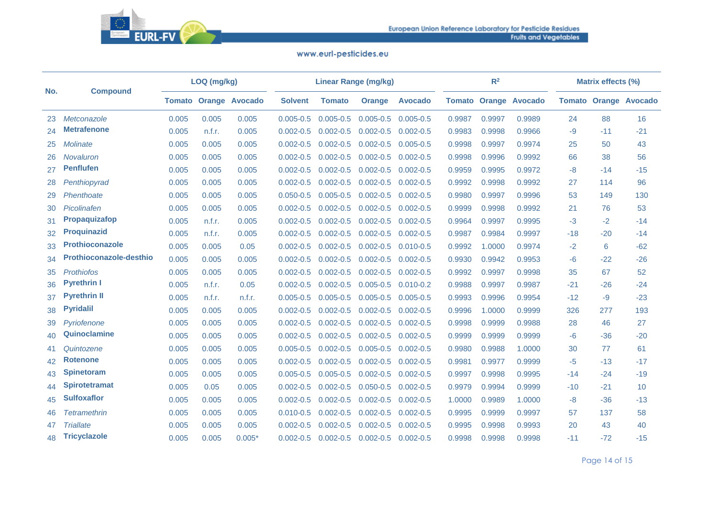

| No. |                         |       | LOQ (mg/kg) |                              |                | <b>Linear Range (mg/kg)</b> |                             |                |        | R <sup>2</sup> |                              | <b>Matrix effects (%)</b> |       |                              |  |
|-----|-------------------------|-------|-------------|------------------------------|----------------|-----------------------------|-----------------------------|----------------|--------|----------------|------------------------------|---------------------------|-------|------------------------------|--|
|     | <b>Compound</b>         |       |             | <b>Tomato Orange Avocado</b> | <b>Solvent</b> | <b>Tomato</b>               | <b>Orange</b>               | <b>Avocado</b> |        |                | <b>Tomato Orange Avocado</b> |                           |       | <b>Tomato Orange Avocado</b> |  |
| 23  | Metconazole             | 0.005 | 0.005       | 0.005                        | $0.005 - 0.5$  | $0.005 - 0.5$               | $0.005 - 0.5$ $0.005 - 0.5$ |                | 0.9987 | 0.9997         | 0.9989                       | 24                        | 88    | 16                           |  |
| 24  | <b>Metrafenone</b>      | 0.005 | n.f.r.      | 0.005                        | $0.002 - 0.5$  | $0.002 - 0.5$               | $0.002 - 0.5$               | $0.002 - 0.5$  | 0.9983 | 0.9998         | 0.9966                       | -9                        | $-11$ | $-21$                        |  |
| 25  | Molinate                | 0.005 | 0.005       | 0.005                        | $0.002 - 0.5$  | $0.002 - 0.5$               | $0.002 - 0.5$               | $0.005 - 0.5$  | 0.9998 | 0.9997         | 0.9974                       | 25                        | 50    | 43                           |  |
| 26  | <b>Novaluron</b>        | 0.005 | 0.005       | 0.005                        | $0.002 - 0.5$  | $0.002 - 0.5$               | $0.002 - 0.5$               | $0.002 - 0.5$  | 0.9998 | 0.9996         | 0.9992                       | 66                        | 38    | 56                           |  |
| 27  | <b>Penflufen</b>        | 0.005 | 0.005       | 0.005                        | $0.002 - 0.5$  | $0.002 - 0.5$               | $0.002 - 0.5$               | $0.002 - 0.5$  | 0.9959 | 0.9995         | 0.9972                       | -8                        | $-14$ | $-15$                        |  |
| 28  | Penthiopyrad            | 0.005 | 0.005       | 0.005                        | $0.002 - 0.5$  | $0.002 - 0.5$               | $0.002 - 0.5$               | $0.002 - 0.5$  | 0.9992 | 0.9998         | 0.9992                       | 27                        | 114   | 96                           |  |
| 29  | Phenthoate              | 0.005 | 0.005       | 0.005                        | $0.050 - 0.5$  | $0.005 - 0.5$               | $0.002 - 0.5$               | $0.002 - 0.5$  | 0.9980 | 0.9997         | 0.9996                       | 53                        | 149   | 130                          |  |
| 30  | Picolinafen             | 0.005 | 0.005       | 0.005                        | $0.002 - 0.5$  | $0.002 - 0.5$               | $0.002 - 0.5$               | $0.002 - 0.5$  | 0.9999 | 0.9998         | 0.9992                       | 21                        | 76    | 53                           |  |
| 31  | Propaquizafop           | 0.005 | n.f.r.      | 0.005                        | $0.002 - 0.5$  | $0.002 - 0.5$               | $0.002 - 0.5$               | $0.002 - 0.5$  | 0.9964 | 0.9997         | 0.9995                       | -3                        | $-2$  | $-14$                        |  |
| 32  | <b>Proquinazid</b>      | 0.005 | n.f.r.      | 0.005                        | $0.002 - 0.5$  | $0.002 - 0.5$               | $0.002 - 0.5$               | $0.002 - 0.5$  | 0.9987 | 0.9984         | 0.9997                       | $-18$                     | $-20$ | $-14$                        |  |
| 33  | <b>Prothioconazole</b>  | 0.005 | 0.005       | 0.05                         | $0.002 - 0.5$  | $0.002 - 0.5$               | $0.002 - 0.5$               | $0.010 - 0.5$  | 0.9992 | 1.0000         | 0.9974                       | $-2$                      | 6     | $-62$                        |  |
| 34  | Prothioconazole-desthio | 0.005 | 0.005       | 0.005                        | $0.002 - 0.5$  | $0.002 - 0.5$               | $0.002 - 0.5$               | $0.002 - 0.5$  | 0.9930 | 0.9942         | 0.9953                       | -6                        | $-22$ | $-26$                        |  |
| 35  | <b>Prothiofos</b>       | 0.005 | 0.005       | 0.005                        | $0.002 - 0.5$  | $0.002 - 0.5$               | $0.002 - 0.5$               | $0.002 - 0.5$  | 0.9992 | 0.9997         | 0.9998                       | 35                        | 67    | 52                           |  |
| 36  | <b>Pyrethrin I</b>      | 0.005 | n.f.r.      | 0.05                         | $0.002 - 0.5$  | $0.002 - 0.5$               | $0.005 - 0.5$               | $0.010 - 0.2$  | 0.9988 | 0.9997         | 0.9987                       | $-21$                     | $-26$ | $-24$                        |  |
| 37  | <b>Pyrethrin II</b>     | 0.005 | n.f.r.      | n.f.r.                       | $0.005 - 0.5$  | $0.005 - 0.5$               | $0.005 - 0.5$               | $0.005 - 0.5$  | 0.9993 | 0.9996         | 0.9954                       | $-12$                     | $-9$  | $-23$                        |  |
| 38  | <b>Pyridalil</b>        | 0.005 | 0.005       | 0.005                        | $0.002 - 0.5$  | $0.002 - 0.5$               | $0.002 - 0.5$               | $0.002 - 0.5$  | 0.9996 | 1.0000         | 0.9999                       | 326                       | 277   | 193                          |  |
| 39  | Pyriofenone             | 0.005 | 0.005       | 0.005                        | $0.002 - 0.5$  | $0.002 - 0.5$               | $0.002 - 0.5$               | $0.002 - 0.5$  | 0.9998 | 0.9999         | 0.9988                       | 28                        | 46    | 27                           |  |
| 40  | Quinoclamine            | 0.005 | 0.005       | 0.005                        | $0.002 - 0.5$  | $0.002 - 0.5$               | $0.002 - 0.5$               | $0.002 - 0.5$  | 0.9999 | 0.9999         | 0.9999                       | -6                        | $-36$ | $-20$                        |  |
| 41  | Quintozene              | 0.005 | 0.005       | 0.005                        | $0.005 - 0.5$  | $0.002 - 0.5$               | $0.005 - 0.5$               | $0.002 - 0.5$  | 0.9980 | 0.9988         | 1.0000                       | 30                        | 77    | 61                           |  |
| 42  | <b>Rotenone</b>         | 0.005 | 0.005       | 0.005                        | $0.002 - 0.5$  | $0.002 - 0.5$               | $0.002 - 0.5$               | $0.002 - 0.5$  | 0.9981 | 0.9977         | 0.9999                       | -5                        | $-13$ | $-17$                        |  |
| 43  | <b>Spinetoram</b>       | 0.005 | 0.005       | 0.005                        | $0.005 - 0.5$  | $0.005 - 0.5$               | $0.002 - 0.5$               | $0.002 - 0.5$  | 0.9997 | 0.9998         | 0.9995                       | $-14$                     | $-24$ | $-19$                        |  |
| 44  | <b>Spirotetramat</b>    | 0.005 | 0.05        | 0.005                        | $0.002 - 0.5$  | $0.002 - 0.5$               | $0.050 - 0.5$               | $0.002 - 0.5$  | 0.9979 | 0.9994         | 0.9999                       | $-10$                     | $-21$ | 10                           |  |
| 45  | <b>Sulfoxaflor</b>      | 0.005 | 0.005       | 0.005                        | $0.002 - 0.5$  | $0.002 - 0.5$               | $0.002 - 0.5$               | $0.002 - 0.5$  | 1.0000 | 0.9989         | 1.0000                       | -8                        | $-36$ | $-13$                        |  |
| 46  | <b>Tetramethrin</b>     | 0.005 | 0.005       | 0.005                        | $0.010 - 0.5$  | $0.002 - 0.5$               | $0.002 - 0.5$               | $0.002 - 0.5$  | 0.9995 | 0.9999         | 0.9997                       | 57                        | 137   | 58                           |  |
| 47  | <b>Triallate</b>        | 0.005 | 0.005       | 0.005                        | $0.002 - 0.5$  | $0.002 - 0.5$               | $0.002 - 0.5$               | $0.002 - 0.5$  | 0.9995 | 0.9998         | 0.9993                       | 20                        | 43    | 40                           |  |
| 48  | <b>Tricyclazole</b>     | 0.005 | 0.005       | $0.005*$                     | $0.002 - 0.5$  | $0.002 - 0.5$               | $0.002 - 0.5$               | $0.002 - 0.5$  | 0.9998 | 0.9998         | 0.9998                       | $-11$                     | $-72$ | $-15$                        |  |